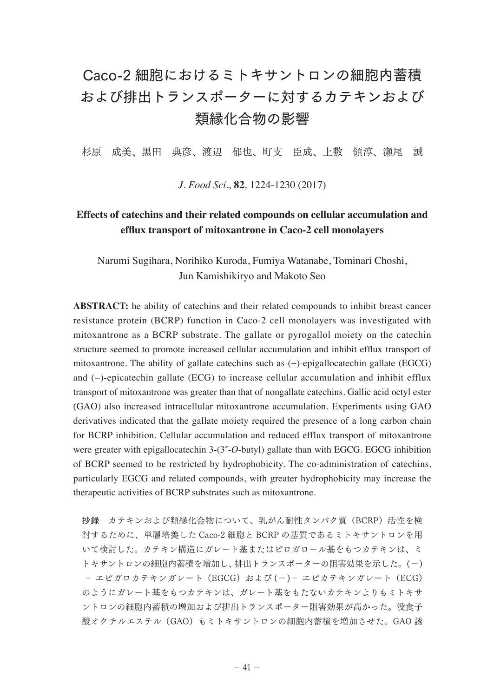## Caco-2 細胞におけるミトキサントロンの細胞内蓄積 および排出トランスポーターに対するカテキンおよび 類縁化合物の影響

杉原 成美、黒田 典彦、渡辺 郁也、町支 臣成、上敷 領淳、瀬尾 誠

*J. Food Sci.,* **82***,* 1224-1230 (2017)

## **Effects of catechins and their related compounds on cellular accumulation and efflux transport of mitoxantrone in Caco-2 cell monolayers**

Narumi Sugihara, Norihiko Kuroda, Fumiya Watanabe, Tominari Choshi, Jun Kamishikiryo and Makoto Seo

**ABSTRACT:** he ability of catechins and their related compounds to inhibit breast cancer resistance protein (BCRP) function in Caco-2 cell monolayers was investigated with mitoxantrone as a BCRP substrate. The gallate or pyrogallol moiety on the catechin structure seemed to promote increased cellular accumulation and inhibit efflux transport of mitoxantrone. The ability of gallate catechins such as (−)-epigallocatechin gallate (EGCG) and (−)-epicatechin gallate (ECG) to increase cellular accumulation and inhibit efflux transport of mitoxantrone was greater than that of nongallate catechins. Gallic acid octyl ester (GAO) also increased intracellular mitoxantrone accumulation. Experiments using GAO derivatives indicated that the gallate moiety required the presence of a long carbon chain for BCRP inhibition. Cellular accumulation and reduced efflux transport of mitoxantrone were greater with epigallocatechin 3-(3˝-*O*-butyl) gallate than with EGCG. EGCG inhibition of BCRP seemed to be restricted by hydrophobicity. The co-administration of catechins, particularly EGCG and related compounds, with greater hydrophobicity may increase the therapeutic activities of BCRP substrates such as mitoxantrone.

抄録 カテキンおよび類縁化合物について、乳がん耐性タンパク質(BCRP)活性を検 討するために、単層培養した Caco-2 細胞と BCRP の基質であるミトキサントロンを用 いて検討した。カテキン構造にガレート基またはピロガロール基をもつカテキンは、ミ トキサントロンの細胞内蓄積を増加し、排出トランスポーターの阻害効果を示した。(−) ‐ エピガロカテキンガレート(EGCG)および (−)‐ エピカテキンガレート(ECG) のようにガレート基をもつカテキンは、ガレート基をもたないカテキンよりもミトキサ ントロンの細胞内蓄積の増加および排出トランスポーター阻害効果が高かった。没食子 酸オクチルエステル(GAO)もミトキサントロンの細胞内蓄積を増加させた。GAO 誘